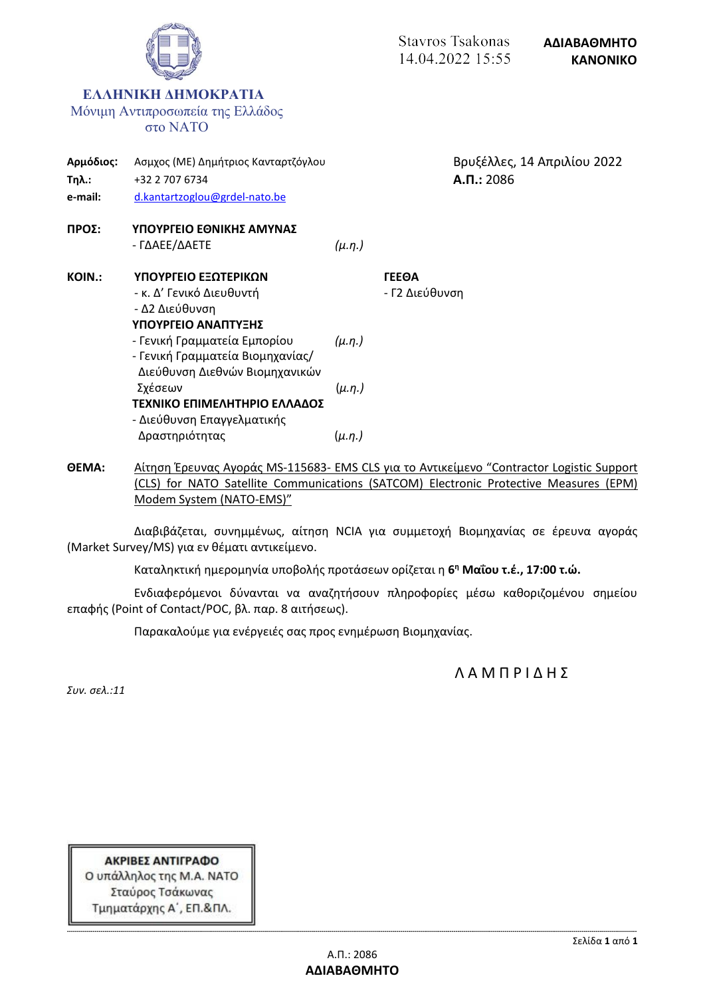

**ΘΕΜΑ:** Αίτηση Έρευνας Αγοράς MS-115683- EMS CLS για το Αντικείμενο "Contractor Logistic Support (CLS) for NATO Satellite Communications (SATCOM) Electronic Protective Measures (EPM) Modem System (NATO-EMS)"

Διαβιβάζεται, συνημμένως, αίτηση NCIA για συμμετοχή Βιομηχανίας σε έρευνα αγοράς (Market Survey/MS) για εν θέματι αντικείμενο.

Καταληκτική ημερομηνία υποβολής προτάσεων ορίζεται η **6 <sup>η</sup> Μαΐου τ.έ., 17:00 τ.ώ.**

Ενδιαφερόμενοι δύνανται να αναζητήσουν πληροφορίες μέσω καθοριζομένου σημείου επαφής (Point of Contact/POC, βλ. παρ. 8 αιτήσεως).

Παρακαλούμε για ενέργειές σας προς ενημέρωση Βιομηχανίας.

Λ Α Μ Π Ρ Ι Δ Η Σ

*Συν. σελ.:11*

ΑΚΡΙΒΕΣ ΑΝΤΙΓΡΑΦΟ Ο υπάλληλος της Μ.Α. ΝΑΤΟ Σταύρος Τσάκωνας Τμηματάρχης Α΄, ΕΠ.&ΠΛ.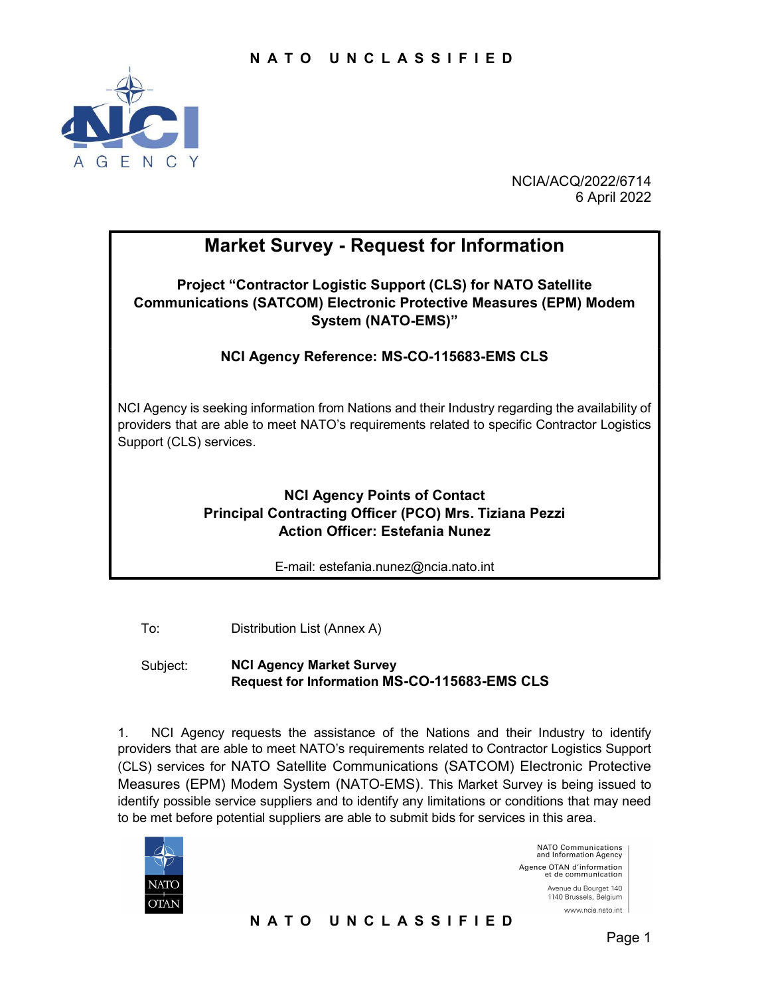

NCIA/ACQ/2022/6714 6 April 2022

# Market Survey - Request for Information

Project "Contractor Logistic Support (CLS) for NATO Satellite Communications (SATCOM) Electronic Protective Measures (EPM) Modem System (NATO-EMS)"

NCI Agency Reference: MS-CO-115683-EMS CLS

NCI Agency is seeking information from Nations and their Industry regarding the availability of providers that are able to meet NATO's requirements related to specific Contractor Logistics Support (CLS) services.

## NCI Agency Points of Contact Principal Contracting Officer (PCO) Mrs. Tiziana Pezzi Action Officer: Estefania Nunez

E-mail: estefania.nunez@ncia.nato.int

To: Distribution List (Annex A)

Subject: NCI Agency Market Survey Request for Information MS-CO-115683-EMS CLS

1. NCI Agency requests the assistance of the Nations and their Industry to identify providers that are able to meet NATO's requirements related to Contractor Logistics Support (CLS) services for NATO Satellite Communications (SATCOM) Electronic Protective Measures (EPM) Modem System (NATO-EMS). This Market Survey is being issued to identify possible service suppliers and to identify any limitations or conditions that may need to be met before potential suppliers are able to submit bids for services in this area.



NATO Communications<br>and Information Agency Agence OTAN d'information et de communication Avenue du Bourget 140 1140 Brussels, Belgium www.ncia.nato.int

N A T O U N C L A S S I F I E D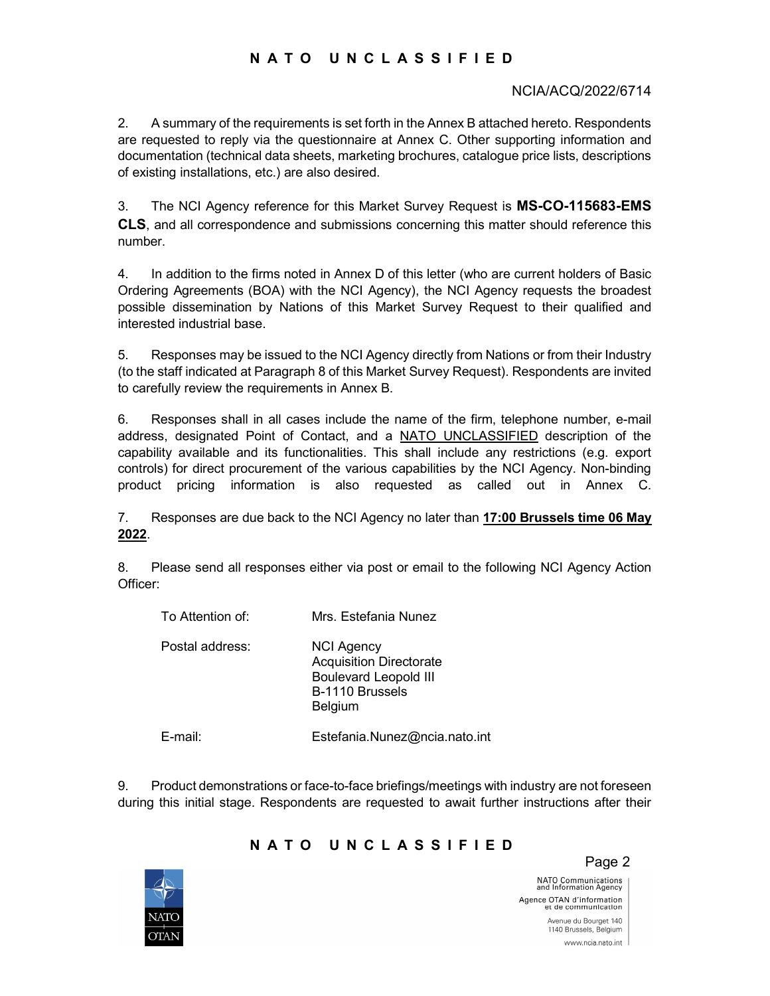### N A T O U N C L A S S I F I E D

#### NCIA/ACQ/2022/6714

2. A summary of the requirements is set forth in the Annex B attached hereto. Respondents are requested to reply via the questionnaire at Annex C. Other supporting information and documentation (technical data sheets, marketing brochures, catalogue price lists, descriptions of existing installations, etc.) are also desired.

3. The NCI Agency reference for this Market Survey Request is MS-CO-115683-EMS CLS, and all correspondence and submissions concerning this matter should reference this number.

4. In addition to the firms noted in Annex D of this letter (who are current holders of Basic Ordering Agreements (BOA) with the NCI Agency), the NCI Agency requests the broadest possible dissemination by Nations of this Market Survey Request to their qualified and interested industrial base.

5. Responses may be issued to the NCI Agency directly from Nations or from their Industry (to the staff indicated at Paragraph 8 of this Market Survey Request). Respondents are invited to carefully review the requirements in Annex B.

6. Responses shall in all cases include the name of the firm, telephone number, e-mail address, designated Point of Contact, and a NATO UNCLASSIFIED description of the capability available and its functionalities. This shall include any restrictions (e.g. export controls) for direct procurement of the various capabilities by the NCI Agency. Non-binding product pricing information is also requested as called out in Annex C.

7. Responses are due back to the NCI Agency no later than 17:00 Brussels time 06 May 2022.

8. Please send all responses either via post or email to the following NCI Agency Action Officer:

| To Attention of: | Mrs. Estefania Nunez                                                                                                     |
|------------------|--------------------------------------------------------------------------------------------------------------------------|
| Postal address:  | <b>NCI Agency</b><br><b>Acquisition Directorate</b><br><b>Boulevard Leopold III</b><br>B-1110 Brussels<br><b>Belgium</b> |
| E-mail:          | Estefania.Nunez@ncia.nato.int                                                                                            |

9. Product demonstrations or face-to-face briefings/meetings with industry are not foreseen during this initial stage. Respondents are requested to await further instructions after their



### N A T O U N C L A S S I F I E D

Page 2

NATO Communications<br>and Information Agency Agence OTAN d'information<br>et de communication Avenue du Bourget 140 www.ncia.nato.int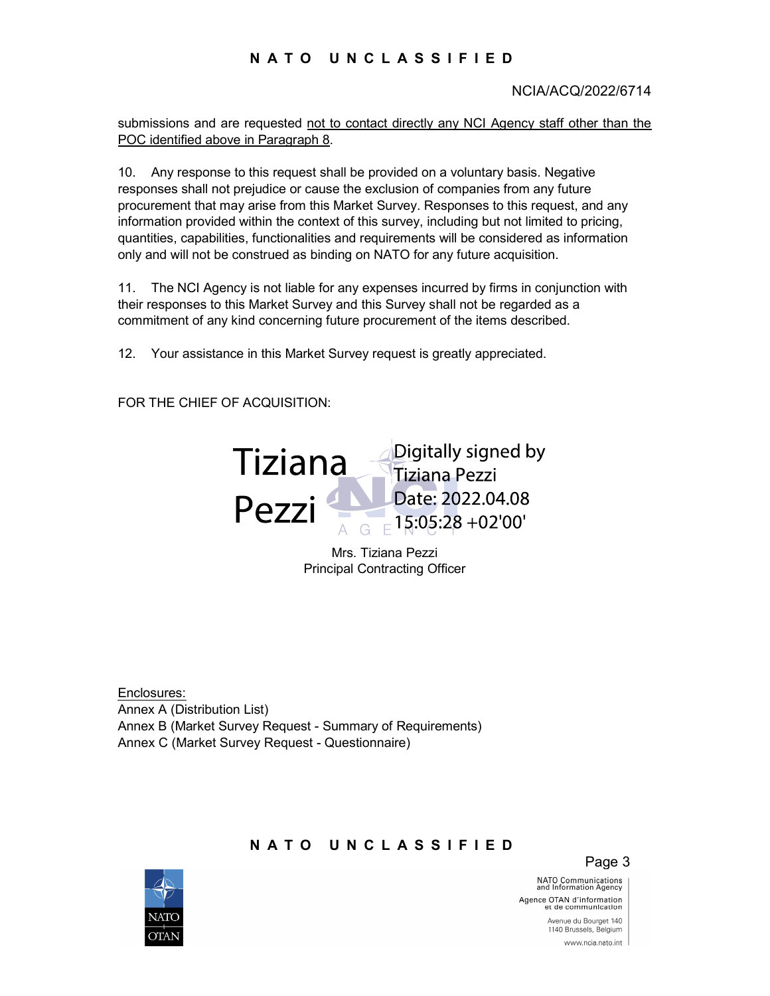### N A T O U N C L A S S I F I E D

#### NCIA/ACQ/2022/6714

submissions and are requested not to contact directly any NCI Agency staff other than the POC identified above in Paragraph 8.

10. Any response to this request shall be provided on a voluntary basis. Negative responses shall not prejudice or cause the exclusion of companies from any future procurement that may arise from this Market Survey. Responses to this request, and any information provided within the context of this survey, including but not limited to pricing, quantities, capabilities, functionalities and requirements will be considered as information only and will not be construed as binding on NATO for any future acquisition.

11. The NCI Agency is not liable for any expenses incurred by firms in conjunction with their responses to this Market Survey and this Survey shall not be regarded as a commitment of any kind concerning future procurement of the items described.

12. Your assistance in this Market Survey request is greatly appreciated.

FOR THE CHIEF OF ACQUISITION:



Mrs. Tiziana Pezzi Principal Contracting Officer

Enclosures: Annex A (Distribution List) Annex B (Market Survey Request - Summary of Requirements) Annex C (Market Survey Request - Questionnaire)

#### N A T O U N C L A S S I F I E D

Page 3

NATO Communications<br>and Information Agency Agence OTAN d'information<br>et de communication

> Avenue du Bourget 140 1140 Brussels, Belgium www.ncia.nato.int

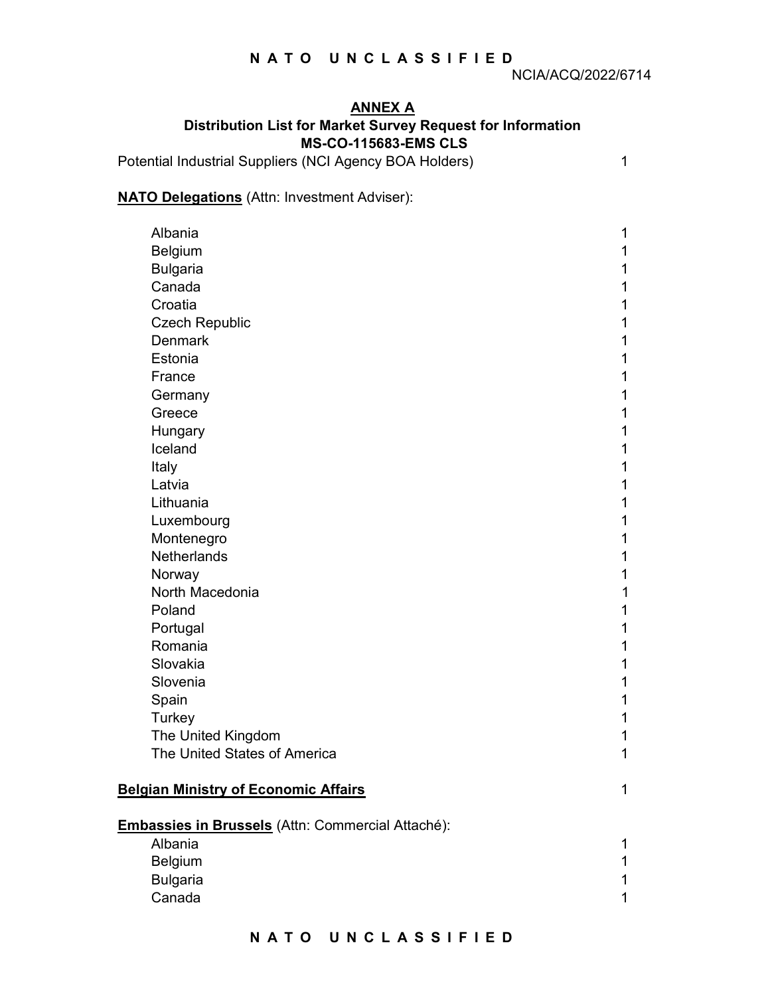## ANNEX A Distribution List for Market Survey Request for Information MS-CO-115683-EMS CLS

Potential Industrial Suppliers (NCI Agency BOA Holders) 1

## **NATO Delegations** (Attn: Investment Adviser):

| Albania                                           | 1 |
|---------------------------------------------------|---|
| Belgium                                           |   |
| <b>Bulgaria</b>                                   | 1 |
| Canada                                            | 1 |
| Croatia                                           | 1 |
| <b>Czech Republic</b>                             |   |
| <b>Denmark</b>                                    | 1 |
| Estonia                                           | 1 |
| France                                            | 1 |
| Germany                                           | 1 |
| Greece                                            | 1 |
| Hungary                                           | 1 |
| Iceland                                           | 1 |
| Italy                                             | 1 |
| Latvia                                            | 1 |
| Lithuania                                         | 1 |
| Luxembourg                                        | 1 |
| Montenegro                                        | 1 |
| Netherlands                                       | 1 |
| Norway                                            | 1 |
| North Macedonia                                   | 1 |
| Poland                                            | 1 |
| Portugal                                          | 1 |
| Romania                                           | 1 |
| Slovakia                                          | 1 |
| Slovenia                                          | 1 |
| Spain                                             | 1 |
| Turkey                                            | 1 |
| The United Kingdom                                | 1 |
| The United States of America                      | 1 |
|                                                   |   |
| <b>Belgian Ministry of Economic Affairs</b>       | 1 |
|                                                   |   |
| Embassies in Brussels (Attn: Commercial Attaché): |   |
| Albania                                           | 1 |
| Belgium                                           | 1 |
| <b>Bulgaria</b>                                   | 1 |
| Canada                                            | 1 |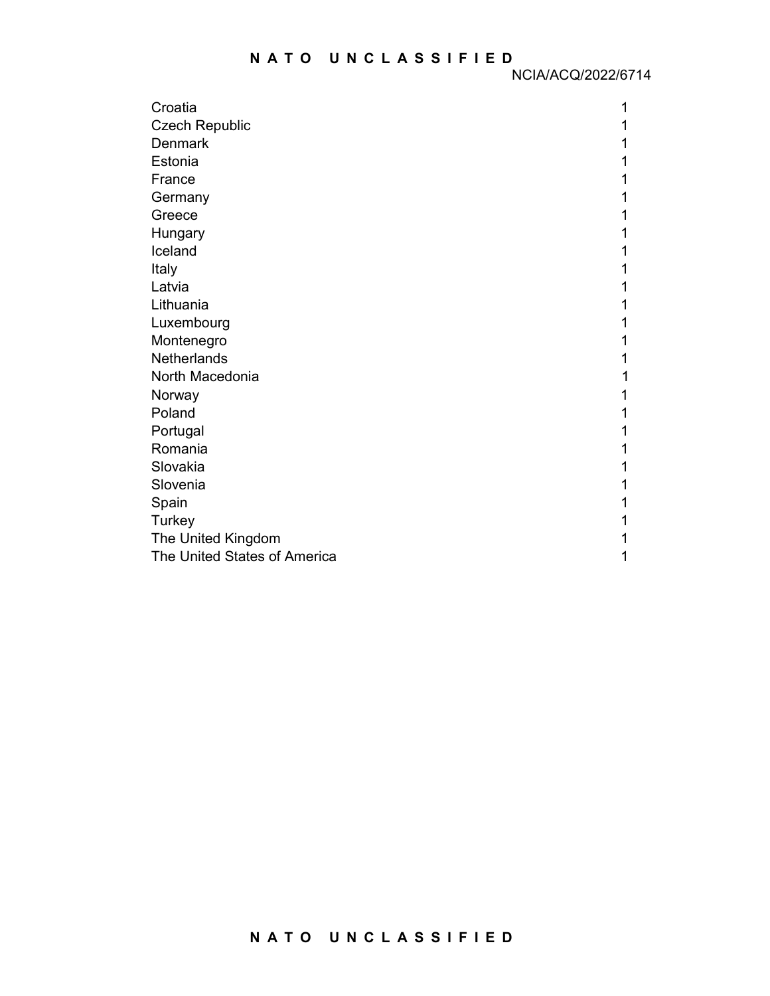| Croatia                      |  |
|------------------------------|--|
| <b>Czech Republic</b>        |  |
| <b>Denmark</b>               |  |
| Estonia                      |  |
| France                       |  |
| Germany                      |  |
| Greece                       |  |
| Hungary                      |  |
| Iceland                      |  |
| Italy                        |  |
| Latvia                       |  |
| Lithuania                    |  |
| Luxembourg                   |  |
| Montenegro                   |  |
| <b>Netherlands</b>           |  |
| North Macedonia              |  |
| Norway                       |  |
| Poland                       |  |
| Portugal                     |  |
| Romania                      |  |
| Slovakia                     |  |
| Slovenia                     |  |
| Spain                        |  |
| Turkey                       |  |
| The United Kingdom           |  |
| The United States of America |  |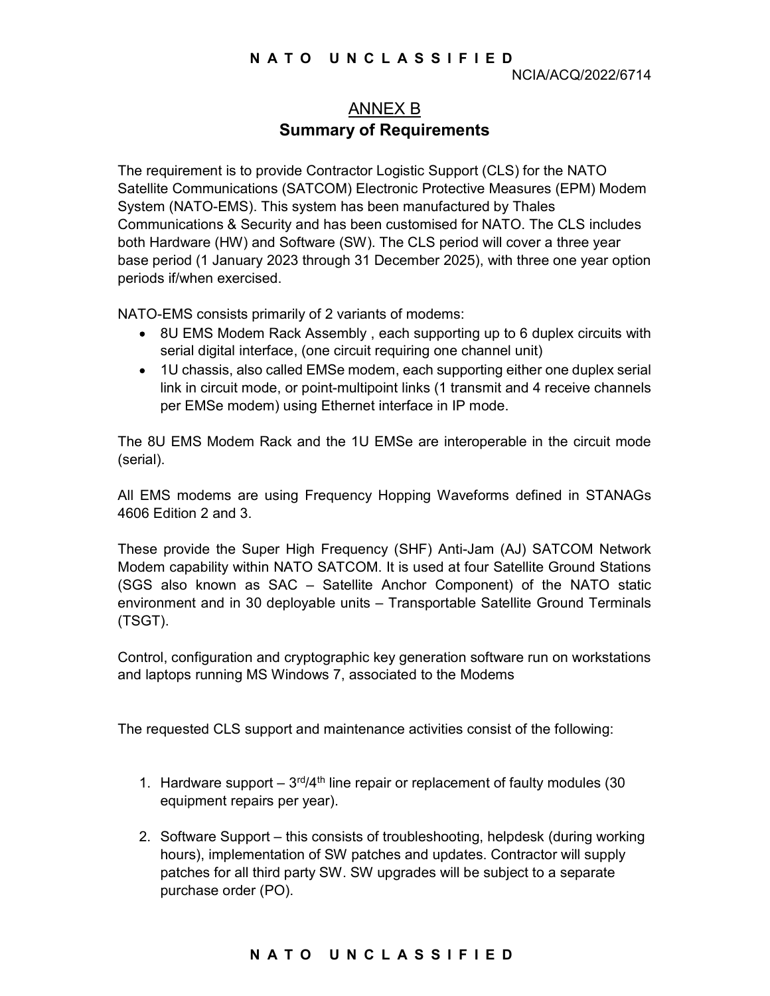# ANNEX B Summary of Requirements

The requirement is to provide Contractor Logistic Support (CLS) for the NATO Satellite Communications (SATCOM) Electronic Protective Measures (EPM) Modem System (NATO-EMS). This system has been manufactured by Thales Communications & Security and has been customised for NATO. The CLS includes both Hardware (HW) and Software (SW). The CLS period will cover a three year base period (1 January 2023 through 31 December 2025), with three one year option periods if/when exercised.

NATO-EMS consists primarily of 2 variants of modems:

- 8U EMS Modem Rack Assembly , each supporting up to 6 duplex circuits with serial digital interface, (one circuit requiring one channel unit)
- 1U chassis, also called EMSe modem, each supporting either one duplex serial link in circuit mode, or point-multipoint links (1 transmit and 4 receive channels per EMSe modem) using Ethernet interface in IP mode.

The 8U EMS Modem Rack and the 1U EMSe are interoperable in the circuit mode (serial).

All EMS modems are using Frequency Hopping Waveforms defined in STANAGs 4606 Edition 2 and 3.

These provide the Super High Frequency (SHF) Anti-Jam (AJ) SATCOM Network Modem capability within NATO SATCOM. It is used at four Satellite Ground Stations (SGS also known as SAC – Satellite Anchor Component) of the NATO static environment and in 30 deployable units – Transportable Satellite Ground Terminals (TSGT).

Control, configuration and cryptographic key generation software run on workstations and laptops running MS Windows 7, associated to the Modems

The requested CLS support and maintenance activities consist of the following:

- 1. Hardware support  $-3^{rd}/4^{th}$  line repair or replacement of faulty modules (30 equipment repairs per year).
- 2. Software Support this consists of troubleshooting, helpdesk (during working hours), implementation of SW patches and updates. Contractor will supply patches for all third party SW. SW upgrades will be subject to a separate purchase order (PO).

### N A T O U N C L A S S I F I E D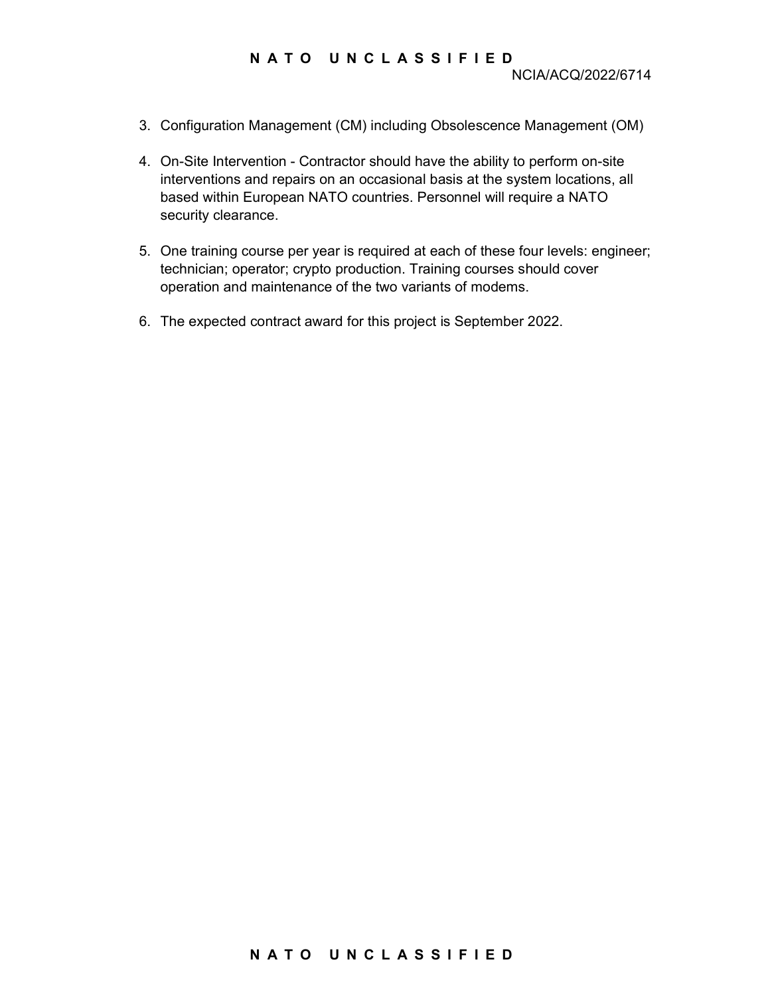### N A T O U N C L A S S I F I E D

- 3. Configuration Management (CM) including Obsolescence Management (OM)
- 4. On-Site Intervention Contractor should have the ability to perform on-site interventions and repairs on an occasional basis at the system locations, all based within European NATO countries. Personnel will require a NATO security clearance.
- 5. One training course per year is required at each of these four levels: engineer; technician; operator; crypto production. Training courses should cover operation and maintenance of the two variants of modems.
- 6. The expected contract award for this project is September 2022.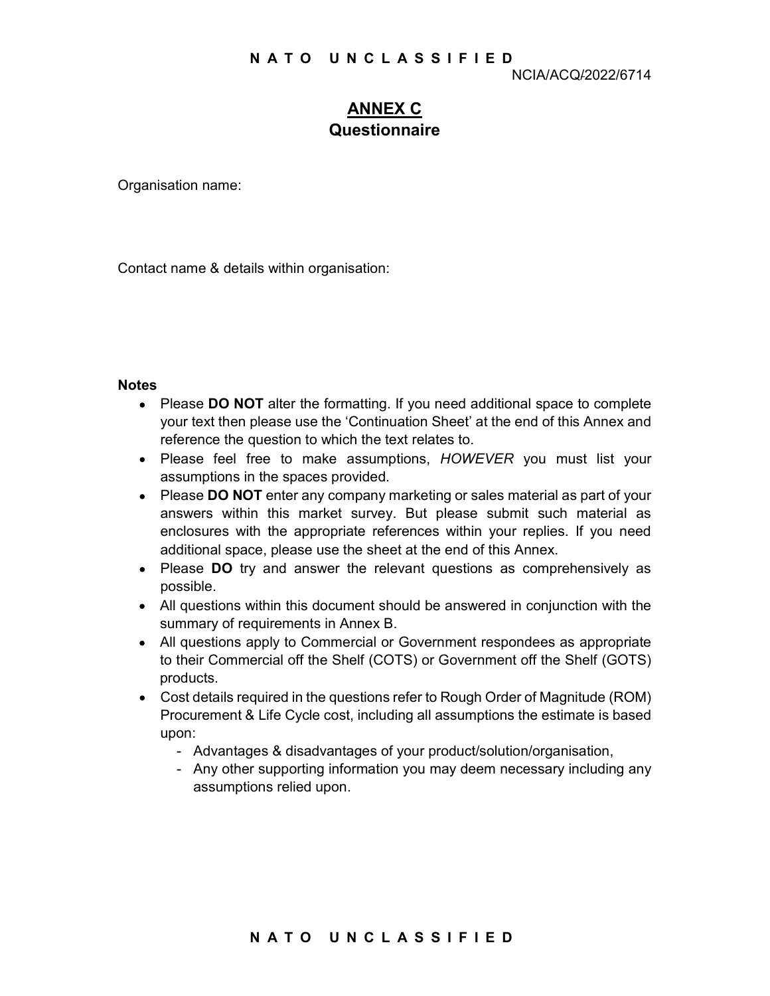# ANNEX C Questionnaire

Organisation name:

Contact name & details within organisation:

#### **Notes**

- Please DO NOT alter the formatting. If you need additional space to complete your text then please use the 'Continuation Sheet' at the end of this Annex and reference the question to which the text relates to.
- Please feel free to make assumptions, HOWEVER you must list your assumptions in the spaces provided.
- Please DO NOT enter any company marketing or sales material as part of your answers within this market survey. But please submit such material as enclosures with the appropriate references within your replies. If you need additional space, please use the sheet at the end of this Annex.
- Please DO try and answer the relevant questions as comprehensively as possible.
- All questions within this document should be answered in conjunction with the summary of requirements in Annex B.
- All questions apply to Commercial or Government respondees as appropriate to their Commercial off the Shelf (COTS) or Government off the Shelf (GOTS) products.
- Cost details required in the questions refer to Rough Order of Magnitude (ROM) Procurement & Life Cycle cost, including all assumptions the estimate is based upon:
	- Advantages & disadvantages of your product/solution/organisation,
	- Any other supporting information you may deem necessary including any assumptions relied upon.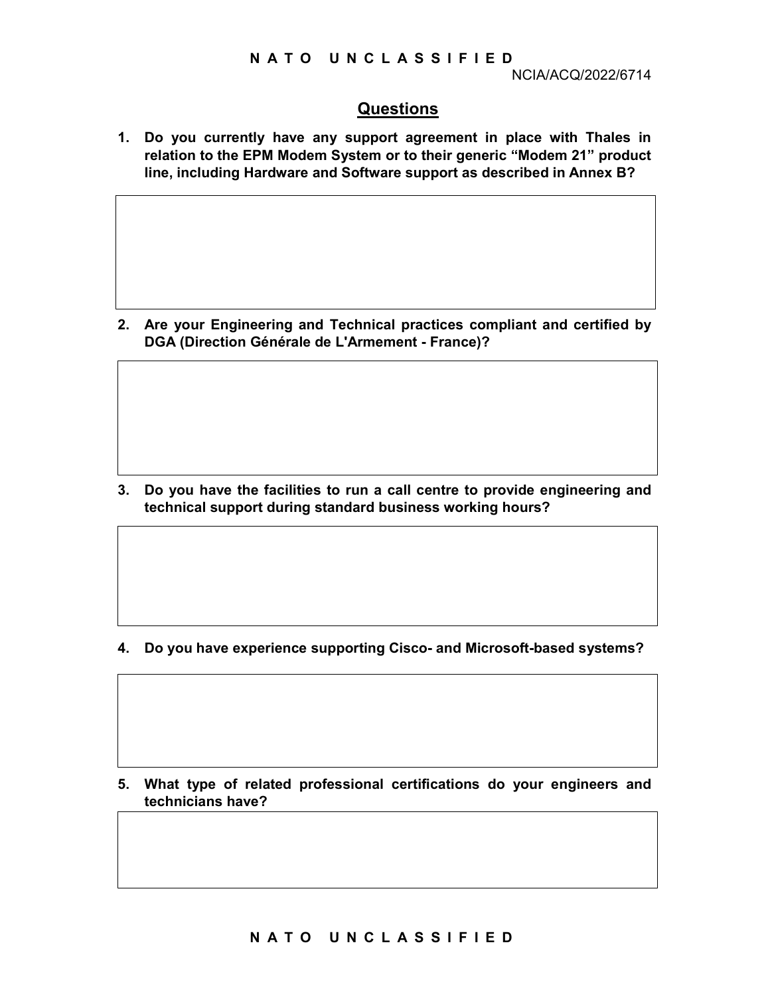## Questions

1. Do you currently have any support agreement in place with Thales in relation to the EPM Modem System or to their generic "Modem 21" product line, including Hardware and Software support as described in Annex B?

2. Are your Engineering and Technical practices compliant and certified by DGA (Direction Générale de L'Armement - France)?

3. Do you have the facilities to run a call centre to provide engineering and technical support during standard business working hours?

4. Do you have experience supporting Cisco- and Microsoft-based systems?

5. What type of related professional certifications do your engineers and technicians have?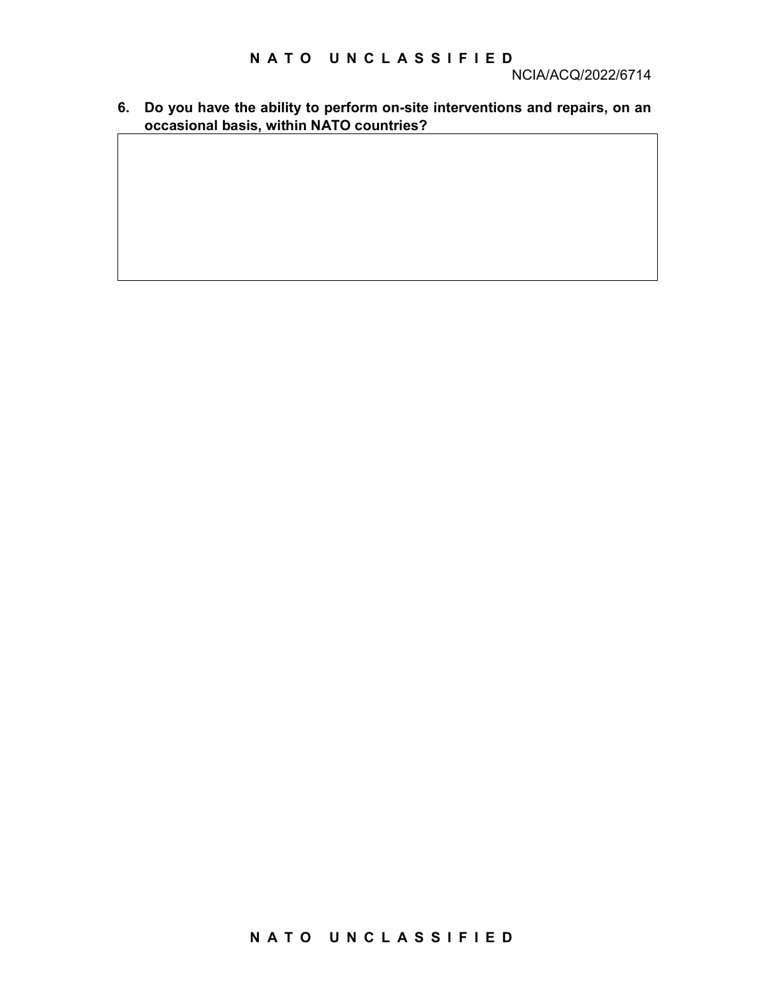6. Do you have the ability to perform on-site interventions and repairs, on an occasional basis, within NATO countries?

# N A T O UN C L A S S I F I E D